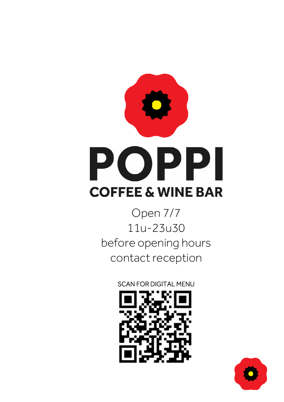

Open 7/7 11u-23u30 before opening hours contact reception

**SCAN FOR DIGITAL MENU** 



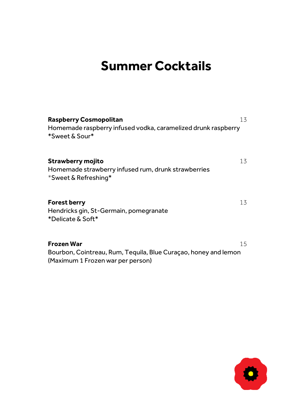# **Summer Cocktails**

| Raspberry Cosmopolitan<br>Homemade raspberry infused vodka, caramelized drunk raspberry<br>*Sweet & Sour*          | 13 |
|--------------------------------------------------------------------------------------------------------------------|----|
| Strawberry mojito<br>Homemade strawberry infused rum, drunk strawberries<br>*Sweet & Refreshing*                   | 13 |
| <b>Forest berry</b><br>Hendricks gin, St-Germain, pomegranate<br>*Delicate & Soft*                                 | 13 |
| Frozen War<br>Bourbon, Cointreau, Rum, Tequila, Blue Curaçao, honey and lemon<br>(Maximum 1 Frozen war per person) | 15 |

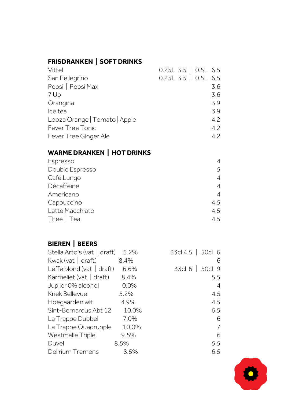# **FRISDRANKEN | SOFT DRINKS**

| Vittel                        | $0.25L$ 3.5 $\bigcup$ 0.5L 6.5 |     |
|-------------------------------|--------------------------------|-----|
| San Pellegrino                | $0.25L$ 3.5 $\vert$ 0.5L 6.5   |     |
| Pepsi   Pepsi Max             |                                | 3.6 |
| 7 Up                          |                                | 3.6 |
| Orangina                      |                                | 3.9 |
| Ice tea                       |                                | 3.9 |
| Looza Orange   Tomato   Apple |                                | 4.2 |
| Fever Tree Tonic              |                                | 4.2 |
| Fever Tree Ginger Ale         |                                | 4.2 |

# **WARME DRANKEN | HOT DRINKS**

| Espresso        | 4   |
|-----------------|-----|
| Double Espresso | 5   |
| Café Lungo      | 4   |
| Décaffeïne      | 4   |
| Americano       | 4   |
| Cappuccino      | 4.5 |
| Latte Macchiato | 4.5 |
| Thee $ $ Tea    | 45  |

# **BIEREN | BEERS**

| Stella Artois (vat   draft) | 5.2%  | 33cl 4.5   50cl 6 |
|-----------------------------|-------|-------------------|
| Kwak (vat   draft)          | 8.4%  | 6                 |
| Leffe blond (vat $ $ draft) | 6.6%  | 33cl 6<br>50cl 9  |
| Karmeliet (vat   draft)     | 8.4%  | 5.5               |
| Jupiler 0% alcohol          | 0.0%  | 4                 |
| Kriek Bellevue              | 5.2%  | 4.5               |
| Hoegaarden wit              | 4.9%  | 4.5               |
| Sint-Bernardus Abt 12       | 10.0% | 6.5               |
| La Trappe Dubbel            | 7.0%  | 6                 |
| La Trappe Quadrupple        | 10.0% | 7                 |
| Westmalle Triple            | 9.5%  | 6                 |
| Duvel                       | 8.5%  | 5.5               |
| Delirium Tremens            | 8.5%  | 6.5               |

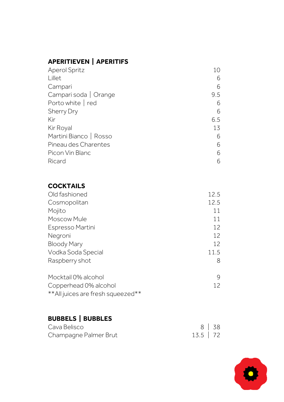# **APERITIEVEN | APERITIFS**

| <b>Aperol Spritz</b>   | 10  |
|------------------------|-----|
| Lillet                 | 6   |
| Campari                | 6   |
| Campari soda   Orange  | 9.5 |
| Porto white   red      | 6   |
| <b>Sherry Dry</b>      | 6   |
| Kir                    | 6.5 |
| Kir Royal              | 13  |
| Martini Bianco   Rosso | 6   |
| Pineau des Charentes   | 6   |
| Picon Vin Blanc        | 6   |
| Ricard                 | 6   |

### **COCKTAILS**

| Old fashioned                      | 12.5 |
|------------------------------------|------|
| Cosmopolitan                       | 12.5 |
| Mojito                             | 11   |
| Moscow Mule                        | 11   |
| Espresso Martini                   | 12   |
| Negroni                            | 12   |
| <b>Bloody Mary</b>                 | 12   |
| Vodka Soda Special                 | 11.5 |
| Raspberry shot                     | 8    |
| Mocktail 0% alcohol                | 9    |
| Copperhead 0% alcohol              | 12   |
| ** All juices are fresh squeezed** |      |

# **BUBBELS | BUBBLES**

| Cava Belisco          |             | $8 \mid 38$ |
|-----------------------|-------------|-------------|
| Champagne Palmer Brut | $13.5$   72 |             |

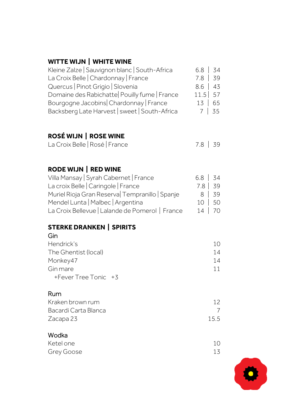# **WITTE WIJN | WHITE WINE**

| Kleine Zalze   Sauvignon blanc   South-Africa | $6.8$   34  |
|-----------------------------------------------|-------------|
| La Croix Belle   Chardonnay   France          | $7.8$   39  |
| Quercus   Pinot Grigio   Slovenia             | $8.6$   43  |
| Domaine des Rabichatte Pouilly fume   France  | $11.5$ 57   |
| Bourgogne Jacobins Chardonnay   France        | 13   65     |
| Backsberg Late Harvest   sweet   South-Africa | $7 \mid 35$ |

# **ROSÉ WIJN | ROSE WINE**

| La Croix Belle   Rosé   France |  | 7.8 39 |  |
|--------------------------------|--|--------|--|
|--------------------------------|--|--------|--|

# **RODE WIJN | RED WINE**

| Villa Mansay   Syrah Cabernet   France          | $6.8$   34 |             |
|-------------------------------------------------|------------|-------------|
| La croix Belle   Caringole   France             | $7.8$   39 |             |
| Muriel Rioja Gran Reserva Tempranillo   Spanje  |            | $8 \mid 39$ |
| Mendel Lunta   Malbec   Argentina               |            | 10 50       |
| La Croix Bellevue   Lalande de Pomerol   France |            | 14   70     |

#### **STERKE DRANKEN | SPIRITS Gin**

| uu                        |     |
|---------------------------|-----|
| Hendrick's                | 10. |
| The Ghentist (local)      | 14  |
| Monkey47                  | 14  |
| Gin mare                  | 11  |
| $+$ Fever Tree Tonic $+3$ |     |
|                           |     |

# **Rum**

| Kraken brown rum     | 12  |
|----------------------|-----|
| Bacardi Carta Blanca |     |
| Zacapa 23            | 155 |

### **Wodka**

| Ketel one  | 10 |
|------------|----|
| Grey Goose | 13 |

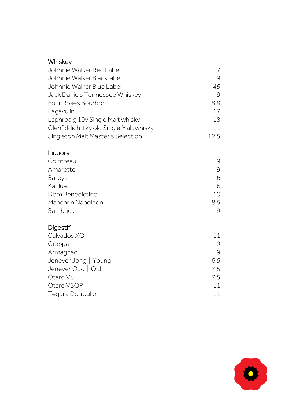### **Whiskey**

| Johnnie Walker Red Label               |      |
|----------------------------------------|------|
| Johnnie Walker Black label             | 9    |
| Johnnie Walker Blue Label              | 45   |
| Jack Daniels Tennessee Whiskey         | 9    |
| Four Roses Bourbon                     | 8.8  |
| Lagavulin                              | 17   |
| Laphroaig 10y Single Malt whisky       | 18   |
| Glenfiddich 12y old Single Malt whisky | 11   |
| Singleton Malt Master's Selection      | 12.5 |

# **Liquors**

| Cointreau         | q   |
|-------------------|-----|
| Amaretto          | q   |
| <b>Baileys</b>    | 6   |
| Kahlua            | 6   |
| Dom Benedictine   | 10  |
| Mandarin Napoleon | 8.5 |
| Sambuca           | 9   |

# **Digestif**

| Calvados XO          | 11  |
|----------------------|-----|
| Grappa               | q   |
| Armagnac             | 9   |
| Jenever Jong   Young | 6.5 |
| Jenever Oud   Old    | 7.5 |
| Otard VS             | 7.5 |
| Otard VSOP           | 11  |
| Tequila Don Julio    | 11  |
|                      |     |

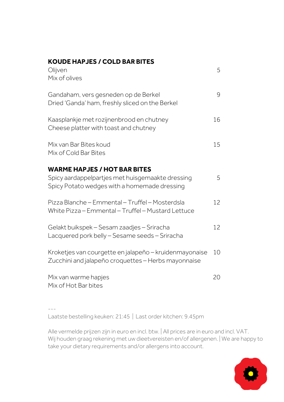### **KOUDE HAPJES / COLD BAR BITES**

| Olijven<br>Mix of olives                                                                                      | .5 |
|---------------------------------------------------------------------------------------------------------------|----|
| Gandaham, vers gesneden op de Berkel<br>Dried 'Ganda' ham, freshly sliced on the Berkel                       | 9  |
| Kaasplankje met rozijnenbrood en chutney<br>Cheese platter with toast and chutney                             | 16 |
| Mix van Bar Bites koud<br>Mix of Cold Bar Bites                                                               | 15 |
| <b>WARME HAPJES / HOT BAR BITES</b>                                                                           |    |
| Spicy aardappelpartjes met huisgemaakte dressing<br>Spicy Potato wedges with a homemade dressing              | 5  |
| Pizza Blanche – Emmental – Truffel – Mosterdsla<br>White Pizza - Emmental - Truffel - Mustard Lettuce         | 12 |
| Gelakt buikspek – Sesam zaadjes – Sriracha<br>Lacquered pork belly - Sesame seeds - Sriracha                  | 12 |
| Kroketjes van courgette en jalapeño - kruidenmayonaise<br>Zucchini and jalapeño croquettes - Herbs mayonnaise | 10 |
| Mix van warme hapjes<br>Mix of Hot Bar bites                                                                  | 20 |

---

Laatste bestelling keuken: 21:45 | Last order kitchen: 9.45pm

Alle vermelde prijzen zijn in euro en incl. btw. | All prices are in euro and incl. VAT. Wij houden graag rekening met uw dieetvereisten en/of allergenen. | We are happy to take your dietary requirements and/or allergens into account.

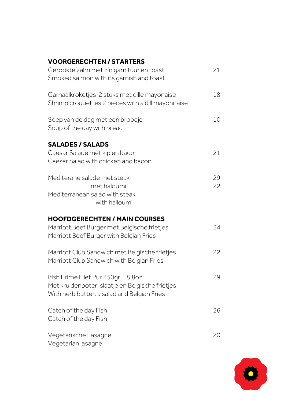### **VOORGERECHTEN / STARTERS**

| Gerookte zalm met z'n garnituur en toast<br>Smoked salmon with its garnish and toast                                                  | 21       |
|---------------------------------------------------------------------------------------------------------------------------------------|----------|
| Garnaalkroketjes 2 stuks met dille mayonaise<br>Shrimp croquettes 2 pieces with a dill mayonnaise                                     | 18       |
| Soep van de dag met een broodje<br>Soup of the day with bread                                                                         | 10       |
| <b>SALADES / SALADS</b><br>Caesar Salade met kip en bacon<br>Caesar Salad with chicken and bacon                                      | 21       |
| Mediterane salade met steak<br>met haloumi<br>Mediterranean salad with steak<br>with halloumi                                         | 29<br>22 |
| <b>HOOFDGERECHTEN / MAIN COURSES</b><br>Marriott Beef Burger met Belgische frietjes<br>Marriott Beef Burger with Belgian Fries        | 24       |
| Marriott Club Sandwich met Belgische frietjes<br>Marriott Club Sandwich with Belgian Fries                                            | 22       |
| Irish Prime Filet Pur 250gr   8.80z<br>Met kruidenboter, slaatje en Belgische frietjes<br>With herb butter, a salad and Belgian Fries | 29       |
| Catch of the day Fish<br>Catch of the day Fish                                                                                        | 26       |
| Vegetarische Lasagne<br>Vegetarian lasagne                                                                                            | 20       |